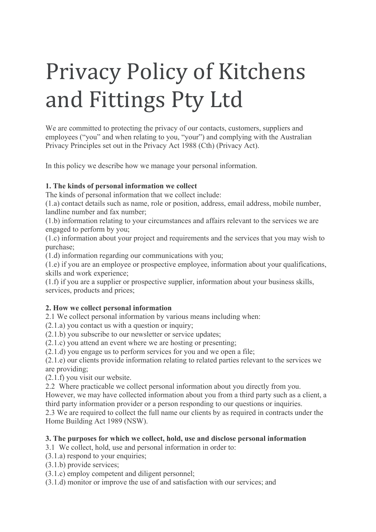# Privacy Policy of Kitchens and Fittings Pty Ltd

We are committed to protecting the privacy of our contacts, customers, suppliers and employees ("you" and when relating to you, "your") and complying with the Australian Privacy Principles set out in the Privacy Act 1988 (Cth) (Privacy Act).

In this policy we describe how we manage your personal information.

## **1. The kinds of personal information we collect**

The kinds of personal information that we collect include:

(1.a) contact details such as name, role or position, address, email address, mobile number, landline number and fax number;

(1.b) information relating to your circumstances and affairs relevant to the services we are engaged to perform by you;

(1.c) information about your project and requirements and the services that you may wish to purchase;

(1.d) information regarding our communications with you;

(1.e) if you are an employee or prospective employee, information about your qualifications, skills and work experience;

(1.f) if you are a supplier or prospective supplier, information about your business skills, services, products and prices;

#### **2. How we collect personal information**

2.1 We collect personal information by various means including when:

- (2.1.a) you contact us with a question or inquiry;
- (2.1.b) you subscribe to our newsletter or service updates;
- (2.1.c) you attend an event where we are hosting or presenting;
- (2.1.d) you engage us to perform services for you and we open a file;

(2.1.e) our clients provide information relating to related parties relevant to the services we are providing;

(2.1.f) you visit our website.

2.2 Where practicable we collect personal information about you directly from you.

However, we may have collected information about you from a third party such as a client, a third party information provider or a person responding to our questions or inquiries.

2.3 We are required to collect the full name our clients by as required in contracts under the Home Building Act 1989 (NSW).

#### **3. The purposes for which we collect, hold, use and disclose personal information**

3.1 We collect, hold, use and personal information in order to:

(3.1.a) respond to your enquiries;

- (3.1.b) provide services;
- (3.1.c) employ competent and diligent personnel;

(3.1.d) monitor or improve the use of and satisfaction with our services; and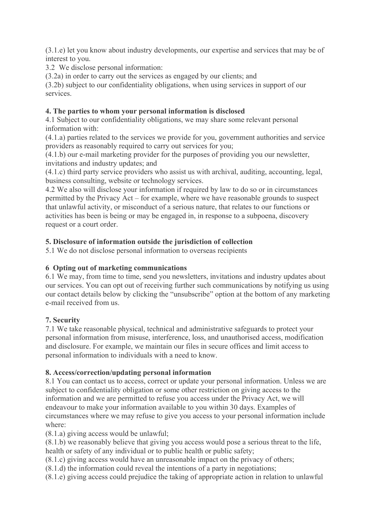(3.1.e) let you know about industry developments, our expertise and services that may be of interest to you.

3.2 We disclose personal information:

(3.2a) in order to carry out the services as engaged by our clients; and

(3.2b) subject to our confidentiality obligations, when using services in support of our services.

### **4. The parties to whom your personal information is disclosed**

4.1 Subject to our confidentiality obligations, we may share some relevant personal information with:

(4.1.a) parties related to the services we provide for you, government authorities and service providers as reasonably required to carry out services for you;

(4.1.b) our e-mail marketing provider for the purposes of providing you our newsletter, invitations and industry updates; and

(4.1.c) third party service providers who assist us with archival, auditing, accounting, legal, business consulting, website or technology services.

4.2 We also will disclose your information if required by law to do so or in circumstances permitted by the Privacy Act – for example, where we have reasonable grounds to suspect that unlawful activity, or misconduct of a serious nature, that relates to our functions or activities has been is being or may be engaged in, in response to a subpoena, discovery request or a court order.

## **5. Disclosure of information outside the jurisdiction of collection**

5.1 We do not disclose personal information to overseas recipients

## **6 Opting out of marketing communications**

6.1 We may, from time to time, send you newsletters, invitations and industry updates about our services. You can opt out of receiving further such communications by notifying us using our contact details below by clicking the "unsubscribe" option at the bottom of any marketing e-mail received from us.

## **7. Security**

7.1 We take reasonable physical, technical and administrative safeguards to protect your personal information from misuse, interference, loss, and unauthorised access, modification and disclosure. For example, we maintain our files in secure offices and limit access to personal information to individuals with a need to know.

#### **8. Access/correction/updating personal information**

8.1 You can contact us to access, correct or update your personal information. Unless we are subject to confidentiality obligation or some other restriction on giving access to the information and we are permitted to refuse you access under the Privacy Act, we will endeavour to make your information available to you within 30 days. Examples of circumstances where we may refuse to give you access to your personal information include where:

(8.1.a) giving access would be unlawful;

(8.1.b) we reasonably believe that giving you access would pose a serious threat to the life, health or safety of any individual or to public health or public safety;

- (8.1.c) giving access would have an unreasonable impact on the privacy of others;
- (8.1.d) the information could reveal the intentions of a party in negotiations;
- (8.1.e) giving access could prejudice the taking of appropriate action in relation to unlawful